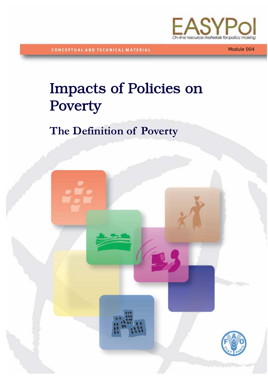

**CONCEPTUAL AND TECHNICAL MATERIAL** 

**CONCEPTUAL AND TECHNICAL MATERIALS** 

Module 004

# Impacts of Policies on Poverty

# **The Definition of Poverty**

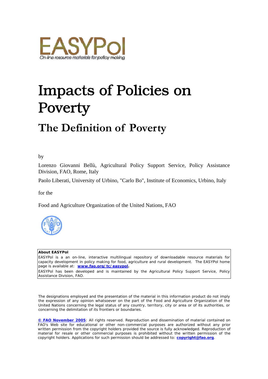

# Impacts of Policies on Poverty

# **The Definition of Poverty**

by

Lorenzo Giovanni Bellù, Agricultural Policy Support Service, Policy Assistance Division, FAO, Rome, Italy

Paolo Liberati, University of Urbino, "Carlo Bo", Institute of Economics, Urbino, Italy

for the

Food and Agriculture Organization of the United Nations, FAO



#### **About EASYPol**

EASYPol is a an on-line, interactive multilingual repository of downloadable resource materials for capacity development in policy making for food, agriculture and rural development. The EASYPol home page is available at: *[www.fao.org/tc/easypol](http://www.fao.org/tc/easypol).*

EASYPol has been developed and is maintained by the Agricultural Policy Support Service, Policy Assistance Division, FAO.

The designations employed and the presentation of the material in this information product do not imply the expression of any opinion whatsoever on the part of the Food and Agriculture Organization of the United Nations concerning the legal status of any country, territory, city or area or of its authorities, or concerning the delimitation of its frontiers or boundaries.

**[© FAO November 2005](http://www.fao.org/copyright_EN.htm)**: All rights reserved. Reproduction and dissemination of material contained on FAO's Web site for educational or other non-commercial purposes are authorized without any prior written permission from the copyright holders provided the source is fully acknowledged. Reproduction of material for resale or other commercial purposes is prohibited without the written permission of the copyright holders. Applications for such permission should be addressed to: **[copyright@fao.org](mailto:copyright@fao.org)**.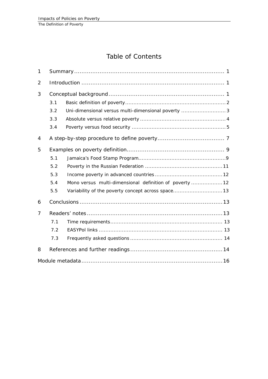# Table of Contents

| $\mathbf{1}$   |     |                                                         |  |
|----------------|-----|---------------------------------------------------------|--|
| $\overline{2}$ |     |                                                         |  |
| 3              |     |                                                         |  |
|                | 3.1 |                                                         |  |
|                | 3.2 | Uni-dimensional versus multi-dimensional poverty  3     |  |
|                | 3.3 |                                                         |  |
|                | 3.4 |                                                         |  |
| 4              |     |                                                         |  |
| 5              |     |                                                         |  |
|                | 5.1 |                                                         |  |
|                | 5.2 |                                                         |  |
|                | 5.3 |                                                         |  |
|                | 5.4 | Mono versus multi-dimensional definition of poverty  12 |  |
|                | 5.5 | Variability of the poverty concept across space 13      |  |
| 6              |     |                                                         |  |
| 7              |     |                                                         |  |
|                | 7.1 |                                                         |  |
|                | 7.2 |                                                         |  |
|                | 7.3 |                                                         |  |
| 8              |     |                                                         |  |
|                |     |                                                         |  |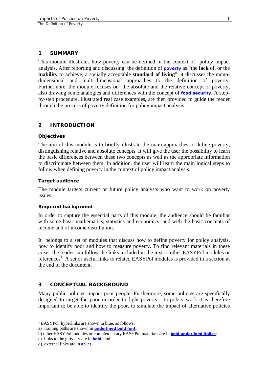#### <span id="page-4-0"></span>**1 SUMMARY**

This module illustrates how poverty can be defined in the context of policy impact analysis. After reporting and discussing the definition of **[poverty](http://www.fao.org/tc/easypol/output/glossary_term.asp?id=15001)** as "the **lack** of, or the **inability** to achieve, a socially acceptable **standard of living**", it discusses the monodimensional and multi-dimensional approaches to the definition of poverty. Furthermore, the module focuses on the absolute and the relative concept of poverty, also drawing some analogies and differences with the concept of **[food security](http://www.fao.org/tc/easypol/output/glossary_term.asp?id=15021)**. A stepby-step procedure, illustrated real case examples, are then provided to guide the reader through the process of poverty definition for policy impact analysis.

#### **2 INTRODUCTION**

#### **Objectives**

The aim of this module is to briefly illustrate the main approaches to define poverty, distinguishing relative and absolute concepts. It will give the user the possibility to learn the basic differences between these two concepts as well as the appropriate information to discriminate between them. In addition, the user will learn the main logical steps to follow when defining poverty in the context of policy impact analysis.

#### **Target audience**

The module targets current or future policy analysts who want to work on poverty issues.

#### **Required background**

In order to capture the essential parts of this module, the audience should be familiar with some basic mathematics, statistics and economics and with the basic concepts of income and of income distribution.

It belongs to a set of modules that discuss how to define poverty for policy analysis, how to identify poor and how to measure poverty. To find relevant materials in these areas, the reader can follow the links included in the text to other EASYPol modules or references<sup>[1](#page-4-1)</sup>. A set of useful links to related EASYPol modules is provided in a section at the end of the document.

#### **3 CONCEPTUAL BACKGROUND**

Many public policies impact poor people. Furthermore, some policies are specifically designed to target the poor in order to fight poverty. In policy work it is therefore important to be able to identify the poor, to simulate the impact of alternative policies

<span id="page-4-1"></span><sup>&</sup>lt;sup>1</sup> EASYPol hyperlinks are shown in blue, as follows:

a) training paths are shown in **underlined bold font**;

b) other EASYPol modules or complementary EASYPol materials are in *bold underlined italics;*

c) links to the glossary are in **bold**; and

d) external links are in *italics*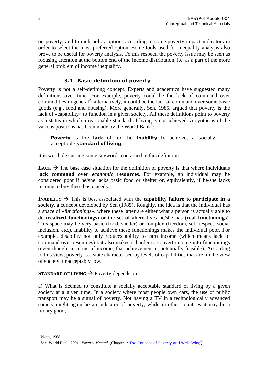<span id="page-5-0"></span>on poverty, and to rank policy options according to some poverty impact indicators in order to select the most preferred option. Some tools used for inequality analysis also prove to be useful for poverty analysis. To this respect, the poverty issue may be seen as focusing attention at the bottom end of the income distribution, i.e. as a part of the more general problem of income inequality.

# **3.1 Basic definition of poverty**

Poverty is not a self-defining concept. Experts and academics have suggested many definitions over time. For example, poverty could be the lack of command over commodities in general<sup>[2](#page-5-1)</sup>; alternatively, it could be the lack of command over some basic goods (e.g., food and housing). More generally, Sen, 1985, argued that poverty is the lack of «capability» to function in a given society. All these definitions point to poverty as a status in which a reasonable standard of living is not achieved. A synthesis of the various positions has been made by the World Bank<sup>3</sup>:

*Poverty is the lack of, or the inability to achieve, a socially acceptable standard of living.* 

It is worth discussing some keywords contained in this definition.

**LACK**  $\rightarrow$  The base case situation for the definition of poverty is that where individuals **lack command over** *economic* **resources**. For example, an individual may be considered poor if he/she lacks basic food or shelter or, equivalently, if he/she lacks income to buy these basic needs.

**INABILITY**  $\rightarrow$  This is best associated with the **capability failure to participate in a society**, a concept developed by Sen (1985). Roughly, the idea is that the individual has a space of «*functionings*», where these latter are either what a person is actually able to do (**realized functionings**) or the set of alternatives he/she has (**real functionings**). This space may be very basic (food, shelter) or complex (freedom, self-respect, social inclusion, etc.). Inability to achieve these functionings makes the individual poor. For example, disability not only reduces ability to earn income (which means lack of command over resources) but also makes it harder to convert income into functionings (even though, in terms of income, that achievement is potentially feasible). According to this view, poverty is a state characterised by levels of capabilities that are, in the view of society, unacceptably low.

# **STANDARD OF LIVING**  $\rightarrow$  Poverty depends on:

a) What is deemed to constitute a socially acceptable standard of living by a given society at a given time. In a society where most people own cars, the use of public transport may be a signal of poverty. Not having a TV in a technologically advanced society might again be an indicator of poverty, while in other countries it may be a luxury good;

<span id="page-5-1"></span> $\overline{a}$ <sup>2</sup> Watts, 1968.

<span id="page-5-2"></span><sup>3</sup> See, World Bank, 2001, *Poverty Manual*, (Chapter 1: *[The Concept of Poverty and Well-Being](http://web.worldbank.org/WBSITE/EXTERNAL/WBI/WBIPROGRAMS/PGLP/0,,contentMDK:20284823~menuPK:461269~pagePK:64156158~piPK:64152884~theSitePK:461246,00.html)*).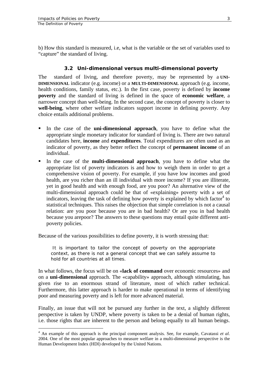$\overline{a}$ 

<span id="page-6-0"></span>b) How this standard is measured, i.e, what is the variable or the set of variables used to "capture" the standard of living.

#### **3.2 Uni-dimensional versus multi-dimensional poverty**

The standard of living, and therefore poverty, may be represented by a **UNI-DIMENSIONAL** indicator (e.g. income) or a **MULTI-DIMENSIONAL** approach (e.g. income, health conditions, family status, etc.). In the first case, poverty is defined by **income poverty** and the standard of living is defined in the space of **economic welfare**, a narrower concept than well-being. In the second case, the concept of poverty is closer to **well-being**, where other welfare indicators support income in defining poverty. Any choice entails additional problems.

- In the case of the **uni-dimensional approach**, you have to define what the appropriate single monetary indicator for standard of living is. There are two natural candidates here, **income** and **expenditures**. Total expenditures are often used as an indicator of poverty, as they better reflect the concept of **permanent income** of an individual.
- In the case of the **multi-dimensional approach**, you have to define what the appropriate list of poverty indicators is and how to weigh them in order to get a comprehensive vision of poverty. For example, if you have low incomes and good health, are you richer than an ill individual with more income? If you are illiterate, yet in good health and with enough food, are you poor? An alternative view of the multi-dimensional approach could be that of «explaining» poverty with a set of indicators, leaving the task of defining how poverty is explained by which factor $4$  to statistical techniques. This raises the objection that simple correlation is not a causal relation: are you poor because you are in bad health? Or are you in bad health because you arepoor? The answers to these questions may entail quite different antipoverty policies.

Because of the various possibilities to define poverty, it is worth stressing that:

*It is important to tailor the concept of poverty on the appropriate context, as there is not a general concept that we can safely assume to hold for all countries at all times.* 

In what follows, the focus will be on «**lack of command** over economic resources» and on a **uni-dimensional** approach. The «capability» approach, although stimulating, has given rise to an enormous strand of literature, most of which rather technical. Furthermore, this latter approach is harder to make operational in terms of identifying poor and measuring poverty and is left for more advanced material.

Finally, an issue that will not be pursued any further in the text, a slightly different perspective is taken by UNDP, where poverty is taken to be a denial of human rights, i.e. those rights that are inherent to the person and belong equally to all human beings.

<span id="page-6-1"></span><sup>4</sup> An example of this approach is the principal component analysis. See, for example, Cavatassi *et al*. 2004. One of the most popular approaches to measure welfare in a multi-dimensional perspective is the Human Development Index (HDI) developed by the United Nations.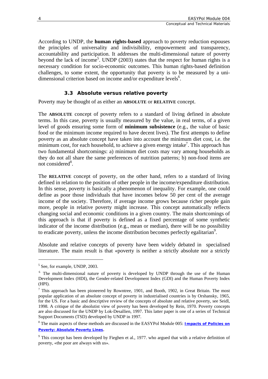<span id="page-7-0"></span>According to UNDP, the **human rights-based** approach to poverty reduction espouses the principles of universality and indivisibility, empowerment and transparency, accountability and participation. It addresses the multi-dimensional nature of poverty beyond the lack of income<sup>[5](#page-7-1)</sup>. UNDP (2003) states that the respect for human rights is a necessary condition for socio-economic outcomes. This human rights-based definition challenges, to some extent, the opportunity that poverty is to be measured by a unidimensional criterion based on income and/or expenditure levels<sup>6</sup>.

# **3.3 Absolute versus relative poverty**

Poverty may be thought of as either an **ABSOLUTE** or **RELATIVE** concept.

The **ABSOLUTE** concept of poverty refers to a standard of living defined in absolute terms. In this case, poverty is usually measured by the value, in real terms, of a given level of goods ensuring some form of **minimum subsistence** (e.g., the value of basic food or the minimum income required to have decent lives). The first attempts to define poverty as an absolute concept have taken into account the minimum diet cost, i.e. the minimum cost, for each household, to achieve a given energy intake<sup>7</sup>. This approach has two fundamental shortcomings: a) minimum diet costs may vary among households as they do not all share the same preferences of nutrition patterns; b) non-food items are not considered<sup>8</sup>.

The **RELATIVE** concept of poverty, on the other hand, refers to a standard of living defined in relation to the position of other people in the income/expenditure distribution. In this sense, poverty is basically a phenomenon of inequality. For example, one could define as poor those individuals that have incomes below 50 per cent of the average income of the society. Therefore, if average income grows because richer people gain more, people in relative poverty might increase. This concept automatically reflects changing social and economic conditions in a given country. The main shortcomings of this approach is that if poverty is defined as a fixed percentage of some synthetic indicator of the income distribution (e.g., mean or median), there will be no possibility to eradicate poverty, unless the income distribution becomes perfectly egalitarian<sup>9</sup>.

Absolute and relative concepts of poverty have been widely debated in specialised literature. The main result is that «poverty is neither a strictly absolute nor a strictly

<span id="page-7-1"></span><sup>&</sup>lt;sup>5</sup> See, for example, UNDP, 2003.

<span id="page-7-2"></span><sup>&</sup>lt;sup>6</sup> The multi-dimensional nature of poverty is developed by UNDP through the use of the Human Development Index (HDI), the Gender-related Development Index (GDI) and the Human Poverty Index (HPI).

<span id="page-7-3"></span> $<sup>7</sup>$  This approach has been pioneered by Rowntree, 1901, and Booth, 1902, in Great Britain. The most</sup> popular application of an absolute concept of poverty in industrialised countries is by Orshansky, 1965, for the US. For a basic and descriptive review of the concepts of absolute and relative poverty, see Seidl, 1998. A critique of the absolutist view of poverty has been developed by Rein, 1970. Poverty concepts are also discussed for the UNDP by Lok-Desallien, 1997. This latter paper is one of a series of Technical Support Documents (TSD) developed by UNDP in 1997.

<span id="page-7-4"></span><sup>8</sup> The main aspects of these methods are discussed in the EASYPol Module 005: *[Impacts of Policies on](http://www.fao.org/docs/up/easypol/316/abslt_pov_lines_005EN.pdf) [Poverty: Absolute Poverty](http://www.fao.org/docs/up/easypol/316/abslt_pov_lines_005EN.pdf) Lines*.

<span id="page-7-5"></span> $9$  This concept has been developed by Fieghen et al., 1977. who argued that with a relative definition of poverty, «the poor are always with us».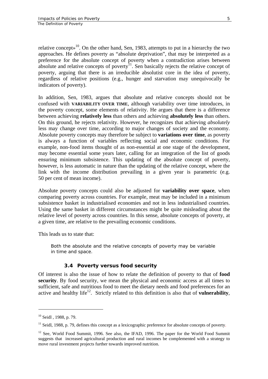<span id="page-8-0"></span>relative concept»<sup>10</sup>. On the other hand, Sen, 1983, attempts to put in a hierarchy the two approaches. He defines poverty as "absolute deprivation", that may be interpreted as a preference for the absolute concept of poverty when a contradiction arises between absolute and relative concepts of poverty $<sup>11</sup>$ . Sen basically rejects the relative concept of</sup> poverty, arguing that there is an irreducible absolutist core in the idea of poverty, regardless of relative positions (e.g., hunger and starvation may unequivocally be indicators of poverty).

In addition, Sen, 1983, argues that absolute and relative concepts should not be confused with **VARIABILITY OVER TIME**, although variability over time introduces, in the poverty concept, some elements of relativity. He argues that there is a difference between achieving **relatively less** than others and achieving **absolutely less** than others. On this ground, he rejects relativity. However, he recognizes that achieving *absolutely* less may change over time, according to major changes of society and the economy. Absolute poverty concepts may therefore be subject to **variations over time**, as poverty is always a function of variables reflecting social and economic conditions. For example, non-food items thought of as non-essential at one stage of the development, may become essential some years later, calling for an integration of the list of goods ensuring minimum subsistence. This updating of the absolute concept of poverty, however, is less automatic in nature than the updating of the relative concept, where the link with the income distribution prevailing in a given year is parametric (e.g. 50 per cent of mean income).

Absolute poverty concepts could also be adjusted for **variability over space**, when comparing poverty across countries. For example, meat may be included in a minimum subsistence basket in industrialised economies and not in less industrialised countries. Using the same basket in different circumstances might be quite misleading about the relative level of poverty across countries. In this sense, absolute concepts of poverty, at a given time, are relative to the prevailing economic conditions.

This leads us to state that:

*Both the absolute and the relative concepts of poverty may be variable in time and space.* 

# **3.4 Poverty versus food security**

Of interest is also the issue of how to relate the definition of poverty to that of **food security**. By food security, we mean the physical and economic access at all times to sufficient, safe and nutritious food to meet the dietary needs and food preferences for an active and healthy life [12.](#page-8-3) Strictly related to this definition is also that of **vulnerability**,

<span id="page-8-1"></span><sup>&</sup>lt;sup>10</sup> Seidl, 1988, p. 79.

<span id="page-8-2"></span><sup>&</sup>lt;sup>11</sup> Seidl, 1988, p. 79, defines this concept as a lexicographic preference for absolute concepts of poverty.

<span id="page-8-3"></span> $12$  See, World Food Summit, 1996. See also, the IFAD, 1996. The paper for the World Food Summit suggests that increased agricultural production and rural incomes be complemented with a strategy to move rural investment projects further towards improved nutrition.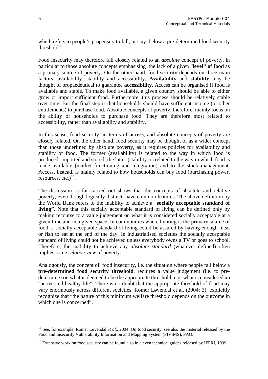which refers to people's propensity to fall, or stay, below a pre-determined food security threshold $13$ .

Food insecurity may therefore fall closely related to an *absolute* concept of poverty, in particular to those absolute concepts emphasising the lack of a given "**level" of food** as a primary source of poverty. On the other hand, food security depends on three main factors: availability, stability and accessibility. **Availability** and **stability** may be thought of propaedeutical to guarantee **accessibility**. Access can be organised if food is available and stable. To make food available, a given country should be able to either grow or import sufficient food. Furthermore, this process should be relatively stable over time. But the final step is that households should have sufficient income (or other entitlements) to purchase food. Absolute concepts of poverty, therefore, mainly focus on the ability of households to purchase food. They are therefore most related to accessibility, rather than availability and stability.

In this sense, food security, in terms of **access**, and absolute concepts of poverty are closely related. On the other hand, food security may be thought of as a wider concept than those underlined by absolute poverty, as it requires policies for availability and stability of food. The former (availability) is related to the way in which food is produced, imported and stored; the latter (stability) is related to the way in which food is made available (market functioning and integration) and to the stock management. Access, instead, is mainly related to how households can buy food (purchasing power, resources, etc.) $^{14}$ .

The discussion so far carried out shows that the concepts of absolute and relative poverty, even though logically distinct, have common features. The above definition by the World Bank refers to the inability to achieve a "**socially acceptable standard of living"**. Note that this socially acceptable standard of living can be defined only by making recourse to a value judgement on what it is considered socially acceptable at a given time and in a given space. In communities where hunting is the primary source of food, a socially acceptable standard of living could be assured by having enough meat or fish to eat at the end of the day. In industrialised societies the socially acceptable standard of living could not be achieved unless everybody owns a TV or goes to school. Therefore, the inability to achieve any *absolute standard* (whatever defined) often implies some *relative view* of poverty.

Analogously, the concept of food insecurity, i.e. the situation where people fall below a **pre-determined food security threshold**, requires a value judgement (i.e. to predetermine) on what is deemed to be the appropriate threshold, e.g. what is considered an "active and healthy life". There is no doubt that the appropriate threshold of food may vary enormously across different societies. Romer Løvendal et al. (2004; 3), explicitly recognize that "the nature of this minimum welfare threshold depends on the outcome in which one is concerned".

<span id="page-9-0"></span><sup>&</sup>lt;sup>13</sup> See, for example, Romer Løvendal *et al.*, 2004. On food security, see also the material released by the Food and Insecurity Vulnerability Information and Mapping System (FIVIMS), FAO.

<span id="page-9-1"></span> $14$  Extensive work on food security can be found also in eleven technical guides released by IFPRI, 1999.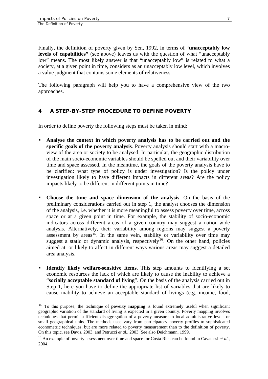$\overline{a}$ 

<span id="page-10-0"></span>Finally, the definition of poverty given by Sen, 1992, in terms of "**unacceptably low levels of capabilities"** (see above) leaves us with the question of what "unacceptably low" means. The most likely answer is that "unacceptably low" is related to what a society, at a given point in time, considers as an unacceptably low level, which involves a value judgment that contains some elements of relativeness.

The following paragraph will help you to have a comprehensive view of the two approaches.

# **4 A STEP-BY-STEP PROCEDURE TO DEFINE POVERTY**

In order to define poverty the following steps must be taken in mind:

- **Analyse the context in which poverty analysis has to be carried out and the specific goals of the poverty analysis**. Poverty analysis should start with a macroview of the area or society to be analysed. In particular, the geographic distribution of the main socio-economic variables should be spelled out and their variability over time and space assessed. In the meantime, the goals of the poverty analysis have to be clarified: what type of policy is under investigation? Is the policy under investigation likely to have different impacts in different areas? Are the policy impacts likely to be different in different points in time?
- **Choose the time and space dimension of the analysis**. On the basis of the preliminary considerations carried out in step 1, the analyst chooses the dimension of the analysis, i.e. whether it is more meaningful to assess poverty over time, across space or at a given point in time. For example, the stability of socio-economic indicators across different areas of a given country may suggest a nation-wide analysis. Alternatively, their variability among regions may suggest a poverty assessment by areas<sup>15</sup>[.](#page-10-1) In the same vein, stability or variability over time may suggest a static or dynamic analysis, respectively<sup>16</sup>. On the other hand, policies aimed at, or likely to affect in different ways various areas may suggest a detailed area analysis.
- **Identify likely welfare-sensitive items**. This step amounts to identifying a set economic resources the lack of which are likely to cause the inability to achieve a "**socially acceptable standard of living**". On the basis of the analysis carried out in Step 1, here you have to define the appropriate list of variables that are likely to cause inability to achieve an acceptable standard of livings (e.g. income, food,

<span id="page-10-1"></span><sup>&</sup>lt;sup>15</sup> To this purpose, the technique of **poverty mapping** is found extremely useful when significant geographic variation of the standard of living is expected in a given country. Poverty mapping involves techniques that permit sufficient disaggregation of a poverty measure to local administrative levels or small geographical units. The methods used vary from participatory poverty profiles to sophisticated econometric techniques, but are more related to poverty measurement than to the definition of poverty.<br>On this topic, see Davis, 2003, and Petrucci et al., 2003. See also Deichmann, 1999.

<span id="page-10-2"></span><sup>&</sup>lt;sup>16</sup> An example of poverty assessment over time and space for Costa Rica can be found in Cavatassi *et al.*, 2004.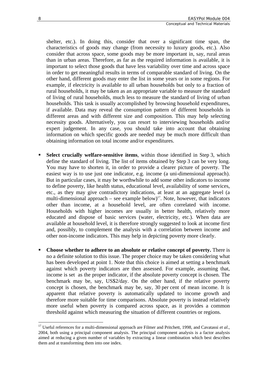shelter, etc.). In doing this, consider that over a significant time span, the characteristics of goods may change (from necessity to luxury goods, etc.). Also consider that across space, some goods may be more important in, say, rural areas than in urban areas. Therefore, as far as the required information is available, it is important to select those goods that have less variability over time and across space in order to get meaningful results in terms of comparable standard of living. On the other hand, different goods may enter the list in some years or in some regions. For example, if electricity is available to all urban households but only to a fraction of rural households, it may be taken as an appropriate variable to measure the standard of living of rural households, much less to measure the standard of living of urban households. This task is usually accomplished by browsing household expenditures, if available. Data may reveal the consumption pattern of different households in different areas and with different size and composition. This may help selecting necessity goods. Alternatively, you can resort to interviewing households and/or expert judgement. In any case, you should take into account that obtaining information on which specific goods are needed may be much more difficult than obtaining information on total income and/or expenditures.

- **Select crucially welfare-sensitive items**, within those identified in Step 3, which define the standard of living. The list of items obtained by Step 3 can be very long. You may have to shorten it, in order to provide a clearer picture of poverty. The easiest way is to use just one indicator, e.g. income (a uni-dimensional approach). But in particular cases, it may be worthwhile to add some other indicators to income to define poverty, like health status, educational level, availability of some services, etc., as they may give contradictory indications, at least at an aggregate level (a multi-dimensional approach – see example below)<sup>17</sup>. Note, however, that indicators other than income, at a household level, are often correlated with income. Households with higher incomes are usually in better health, relatively more educated and dispose of basic services (water, electricity, etc.). When data are available at household level, it is therefore strongly suggested to look at income first and, possibly, to complement the analysis with a correlation between income and other non-income indicators. This may help in depicting poverty more clearly.
- **Choose whether to adhere to an absolute or relative concept of poverty.** There is no a definite solution to this issue. The proper choice may be taken considering what has been developed at point 1. Note that this choice is aimed at setting a benchmark against which poverty indicators are then assessed. For example, assuming that, income is set as the proper indicator, if the absolute poverty concept is chosen. The benchmark may be, say, US\$2/day. On the other hand, if the relative poverty concept is chosen, the benchmark may be, say, 30 per cent of mean income. It is apparent that relative poverty is automatically updated to income growth and therefore more suitable for time comparisons. Absolute poverty is instead relatively more useful when poverty is compared across space, as it provides a common threshold against which measuring the situation of different countries or regions.

<span id="page-11-0"></span><sup>&</sup>lt;sup>17</sup> Useful references for a multi-dimensional approach are Filmer and Pritchett, 1998, and Cavatassi *et al.*, 2004, both using a principal component analysis. The principal component analysis is a factor analysis aimed at reducing a given number of variables by extracting a linear combination which best describes them and at transforming them into one index.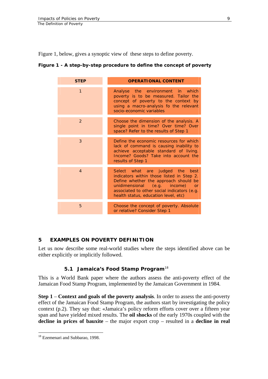<span id="page-12-0"></span>Figure 1, below, gives a synoptic view of these steps to define poverty.

#### **Figure 1 - A step-by-step procedure to define the concept of poverty**

| <b>STEP</b>    | <b>OPERATIONAL CONTENT</b>                                                                                                                                                                                                                            |
|----------------|-------------------------------------------------------------------------------------------------------------------------------------------------------------------------------------------------------------------------------------------------------|
| $\mathbf{1}$   | Analyse the environment in which<br>poverty is to be measured. Tailor the<br>concept of poverty to the context by<br>using a macro-analysis fo the relevant<br>socio-economic variables                                                               |
| 2              | Choose the dimension of the analysis. A<br>single point in time? Over time? Over<br>space? Refer to the results of Step 1                                                                                                                             |
| 3              | Define the economic resources for which<br>lack of command is causing inability to<br>achieve acceptable standard of living.<br>Income? Goods? Take into account the<br>results of Step 1                                                             |
| $\overline{4}$ | Select what are judged the<br>best<br>indicators within those listed in Step 2.<br>Define whether the approach should be<br>unidimensional (e.g. income)<br>or<br>associated to other social indicators (e.g.<br>health status, education level, etc) |
| 5              | Choose the concept of poverty. Absolute<br>or relative? Consider Step 1                                                                                                                                                                               |

# **5 EXAMPLES ON POVERTY DEFINITION**

Let us now describe some real-world studies where the steps identified above can be either explicitly or implicitly followed.

# **5.1 Jamaica's Food Stamp Program**[18](#page-12-1)

This is a World Bank paper where the authors assess the anti-poverty effect of the Jamaican Food Stamp Program, implemented by the Jamaican Government in 1984.

**Step 1** – **Context and goals of the poverty analysis**. In order to assess the anti-poverty effect of the Jamaican Food Stamp Program, the authors start by investigating the policy context (p.2). They say that: «Jamaica's policy reform efforts cover over a fifteen year span and have yielded mixed results. The **oil shocks** of the early 1970s coupled with the **decline in prices of bauxite** – the major export crop – resulted in a **decline in real** 

<span id="page-12-1"></span><sup>&</sup>lt;sup>18</sup> Ezemenari and Subbarao, 1998.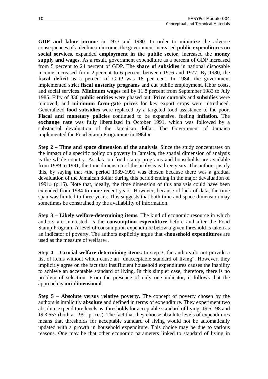**GDP and labor income** in 1973 and 1980. In order to minimize the adverse consequences of a decline in income, the government increased **public expenditures on social services**, expanded **employment in the public sector**, increased the **money supply and wages**. As a result, government expenditure as a percent of GDP increased from 5 percent to 24 percent of GDP. The **share of subsidies** in national disposable income increased from 2 percent to 6 percent between 1976 and 1977. By 1980, the **fiscal deficit** as a percent of GDP was 18 per cent. In 1984, the government implemented strict **fiscal austerity programs** and cut public employment, labor costs, and social services. **Minimum wages** fell by 11.8 percent from September 1983 to July 1985. Fifty of 330 **public entities** were phased out. **Price controls** and **subsidies** were removed, and **minimum farm-gate prices** for key export crops were introduced. Generalized **food subsidies** were replaced by a targeted food assistance to the poor. **Fiscal and monetary policies** continued to be expansive, fueling **inflation**. The **exchange rate** was fully liberalized in October 1991, which was followed by a substantial devaluation of the Jamaican dollar. The Government of Jamaica implemented the Food Stamp Programme in **1984**.»

**Step 2 – Time and space dimension of the analysis**. Since the study concentrates on the impact of a specific policy on poverty in Jamaica, the spatial dimension of analysis is the whole country. As data on food stamp programs and households are available from 1989 to 1991, the time dimension of the analysis is three years. The authors justify this, by saying that «the period 1989-1991 was chosen because there was a gradual devaluation of the Jamaican dollar during this period ending in the major devaluation of 1991» (p.15). Note that, ideally, the time dimension of this analysis could have been extended from 1984 to more recent years. However, because of lack of data, the time span was limited to three years. This suggests that both time and space dimension may sometimes be constrained by the availability of information.

**Step 3 – Likely welfare-determining items.** The kind of economic resource in which authors are interested, is the **consumption expenditure** before and after the Food Stamp Program. A level of consumption expenditure below a given threshold is taken as an indicator of poverty. The authors explicitly argue that «**household expenditures** are used as the measure of welfare».

**Step 4 – Crucial welfare-determining items.** In step 3, the authors do not provide a list of items without which cause an "unacceptable standard of living". However, they implicitly agree on the fact that insufficient household expenditures causes the inability to achieve an acceptable standard of living. In this simpler case, therefore, there is no problem of selection. From the presence of only one indicator, it follows that the approach is **uni-dimensional**.

**Step 5** – **Absolute versus relative poverty**. The concept of poverty chosen by the authors is implicitly **absolute** and defined in terms of expenditure. They experiment two absolute expenditure levels as thresholds for acceptable standard of living: J\$ 6,198 and J\$ 3,657 (both at 1991 prices). The fact that they choose absolute levels of expenditures means that thresholds for acceptable standard of living would not be automatically updated with a growth in household expenditure. This choice may be due to various reasons. One may be that other economic parameters linked to standard of living in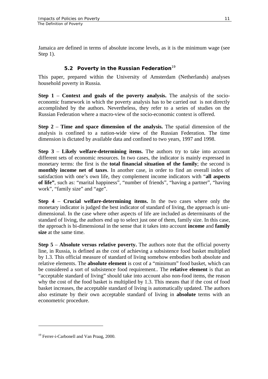<span id="page-14-0"></span>Jamaica are defined in terms of absolute income levels, as it is the minimum wage (see Step 1).

# **5.2 Poverty in the Russian Federation**[19](#page-14-1)

This paper, prepared within the University of Amsterdam (Netherlands) analyses household poverty in Russia.

**Step 1** – **Context and goals of the poverty analysis.** The analysis of the socioeconomic framework in which the poverty analysis has to be carried out is not directly accomplished by the authors. Nevertheless, they refer to a series of studies on the Russian Federation where a macro-view of the socio-economic context is offered.

**Step 2** – **Time and space dimension of the analysis.** The spatial dimension of the analysis is confined to a nation-wide view of the Russian Federation. The time dimension is dictated by available data and confined to two years, 1997 and 1998.

**Step 3** – **Likely welfare-determining items.** The authors try to take into account different sets of economic resources. In two cases, the indicator is mainly expressed in monetary terms: the first is the **total financial situation of the family**; the second is **monthly income net of taxes**. In another case, in order to find an overall index of satisfaction with one's own life, they complement income indicators with "**all aspects of life"**, such as: "marital happiness", "number of friends", "having a partner", "having work", "family size" and "age".

**Step 4** – **Crucial welfare-determining items.** In the two cases where only the monetary indicator is judged the best indicator of standard of living, the approach is unidimensional. In the case where other aspects of life are included as determinants of the standard of living, the authors end up to select just one of them, family size. In this case, the approach is bi-dimensional in the sense that it takes into account **income** and **family size** at the same time.

**Step 5** – **Absolute versus relative poverty.** The authors note that the official poverty line, in Russia, is defined as the cost of achieving a subsistence food basket multiplied by 1.3. This official measure of standard of living somehow embodies both absolute and relative elements. The **absolute element** is cost of a "minimum" food basket, which can be considered a sort of subsistence food requirement.. The **relative element** is that an "acceptable standard of living" should take into account also non-food items, the reason why the cost of the food basket is multiplied by 1.3. This means that if the cost of food basket increases, the acceptable standard of living is automatically updated. The authors also estimate by their own acceptable standard of living in **absolute** terms with an econometric procedure.

<span id="page-14-1"></span><sup>&</sup>lt;sup>19</sup> Ferrer-i-Carbonell and Van Praag, 2000.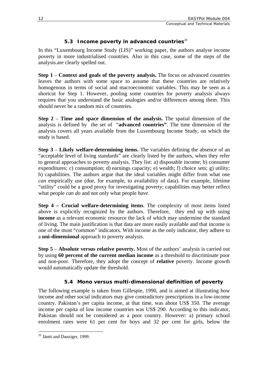# **5.3 Income poverty in advanced countries**[20](#page-15-1)

<span id="page-15-0"></span>In this "Luxembourg Income Study (LIS)" working paper, the authors analyse income poverty in more industrialised countries. Also in this case, some of the steps of the analysis.are clearly spelled out.

**Step 1** – **Context and goals of the poverty analysis.** The focus on advanced countries leaves the authors with some space to assume that these countries are relatively homogenous in terms of social and macroeconomic variables. This may be seen as a shortcut for Step 1. However, pooling some countries for poverty analysis always requires that you understand the basic analogies and/or differences among them. This should never be a random mix of countries.

**Step 2** – **Time and space dimension of the analysis.** The spatial dimension of the analysis is defined by the set of "**advanced countries"**. The time dimension of the analysis covers all years available from the Luxembourg Income Study, on which the study is based.

**Step 3** – **Likely welfare-determining items.** The variables defining the absence of an "acceptable level of living standards" are clearly listed by the authors, when they refer to general approaches to poverty analysis. They list: a) disposable income; b) consumer expenditures; c) consumption; d) earnings capacity; e) wealth; f) choice sets; g) utility; h) capabilities. The authors argue that the ideal variables might differ from what one *can* empirically use (due, for example, to availability of data). For example, lifetime "utility" could be a good proxy for investigating poverty; capabilities may better reflect what people *can do* and not only what people *have*.

**Step 4 – Crucial welfare-determining items**. The complexity of most items listed above is explicitly recognized by the authors. Therefore, they end up with using **income** as a relevant economic resource the lack of which may undermine the standard of living. The main justification is that data are more easily available and that income is one of the most "common" indicators. With income as the only indicator, they adhere to a **uni-dimensional** approach to poverty analysis.

**Step 5** – **Absolute versus relative poverty.** Most of the authors' analysis is carried out by using **60 percent of the current median income** as a threshold to discriminate poor and non-poor. Therefore, they adopt the concept of **relative** poverty. Income growth would automatically update the threshold.

# **5.4 Mono versus multi-dimensional definition of poverty**

The following example is taken from Gillespie, 1990, and is aimed at illustrating how income and other social indicators may give contradictory prescriptions in a low-income country. Pakistan's per capita income, at that time, was about US\$ 350. The average income per capita of low income countries was US\$ 290. According to this indicator, Pakistan should not be considered as a poor country. However: a) primary school enrolment rates were 61 per cent for boys and 32 per cent for girls, below the

<span id="page-15-1"></span> $\overline{a}$ <sup>20</sup> Jäntti and Danziger, 1999.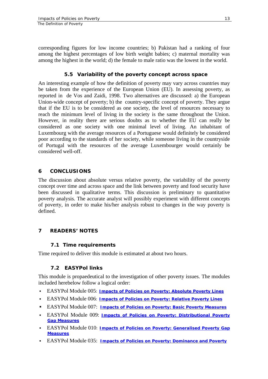<span id="page-16-0"></span>corresponding figures for low income countries; b) Pakistan had a ranking of four among the highest percentages of low birth weight babies; c) maternal mortality was among the highest in the world; d) the female to male ratio was the lowest in the world.

#### **5.5 Variability of the poverty concept across space**

An interesting example of how the definition of poverty may vary across countries may be taken from the experience of the European Union (EU). In assessing poverty, as reported in de Vos and Zaidi, 1998. Two alternatives are discussed: a) the European Union-wide concept of poverty; b) the country-specific concept of poverty. They argue that if the EU is to be considered as one society, the level of resources necessary to reach the minimum level of living in the society is the same throughout the Union. However, in reality there are serious doubts as to whether the EU can really be considered as one society with one minimal level of living. An inhabitant of Luxembourg with the average resources of a Portuguese would definitely be considered poor according to the standards of her society, while someone living in the countryside of Portugal with the resources of the average Luxembourger would certainly be considered well-off.

# **6 CONCLUSIONS**

The discussion about absolute versus relative poverty, the variability of the poverty concept over time and across space and the link between poverty and food security have been discussed in qualitative terms. This discussion is preliminary to quantitative poverty analysis. The accurate analyst will possibly experiment with different concepts of poverty, in order to make his/her analysis robust to changes in the way poverty is defined.

# **7 READERS' NOTES**

#### **7.1 Time requirements**

Time required to deliver this module is estimated at about two hours.

# **7.2 EASYPol links**

This module is propaedeutical to the investigation of other poverty issues. The modules included herebelow follow a logical order:

- EASYPol Module 005: *[Impacts of Policies on Poverty: Absolute Poverty Lines](http://www.fao.org/docs/up/easypol/316/abslt_pov_lines_005EN.pdf)*
- EASYPol Module 006: *[Impacts of Policies on Poverty: Relative Poverty Lines](http://www.fao.org/docs/up/easypol/317/rel_pov_lines_006EN.pdf)*
- EASYPol Module 007: *[Impacts of Policies on Poverty: Basic Poverty Measures](http://www.fao.org/docs/up/easypol/323/basic-pov-measures_007EN.pdf)*
- EASYPol Module 009: *[Impacts of Policies on Poverty: Distributional Poverty](http://www.fao.org/docs/up/easypol/322/distributional-pvmsrs_009EN.pdf)  [Gap Measures](http://www.fao.org/docs/up/easypol/322/distributional-pvmsrs_009EN.pdf)*
- EASYPol Module 010*: [Impacts of Policies on Poverty: Generalised Poverty Gap](http://www.fao.org/docs/up/easypol/324/gnrlsed_pvty_gap_msrs_010EN.pdf) [Measures](http://www.fao.org/docs/up/easypol/324/gnrlsed_pvty_gap_msrs_010EN.pdf)*
- EASYPol Module 035: *[Impacts of Policies on Poverty: Dominance and Poverty](http://www.fao.org/docs/up/easypol/328/povety&dominance_035EN.pdf)*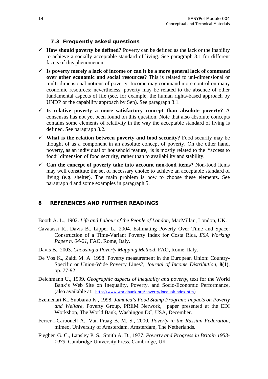# **7.3 Frequently asked questions**

- <span id="page-17-0"></span> $\checkmark$  **How should poverty be defined?** Poverty can be defined as the lack or the inability to achieve a socially acceptable standard of living. See paragraph 3.1 for different facets of this phenomenon.
- $\checkmark$  Is poverty merely a lack of income or can it be a more general lack of command **over other economic and social resources?** This is related to uni-dimensional or multi-dimensional notions of poverty. Income may command more control on many economic resources; nevertheless, poverty may be related to the absence of other fundamental aspects of life (see, for example, the human rights-based approach by UNDP or the capability approach by Sen). See paragraph 3.1.
- 9 **Is relative poverty a more satisfactory concept than absolute poverty?** A consensus has not yet been found on this question. Note that also absolute concepts contains some elements of relativity in the way the acceptable standard of living is defined. See paragraph 3.2.
- $\checkmark$  What is the relation between poverty and food security? Food security may be thought of as a component in an absolute concept of poverty. On the other hand, poverty, as an individual or household feature, is is mostly related to the "access to food" dimension of food security, rather than to availability and stability.
- $\checkmark$  Can the concept of poverty take into account non-food items? Non-food items may well constitute the set of necessary choice to achieve an acceptable standard of living (e.g. shelter). The main problem is how to choose these elements. See paragraph 4 and some examples in paragraph 5.

# **8 REFERENCES AND FURTHER READINGS**

Booth A. L., 1902. *Life and Labour of the People of London*, MacMillan, London, UK.

- Cavatassi R., Davis B., Lipper L., 2004. Estimating Poverty Over Time and Space: Construction of a Time-Variant Poverty Index for Costa Rica, *ESA Working Paper n. 04-21*, FAO, Rome, Italy.
- Davis B., 2003. *Choosing a Poverty Mapping Method*, FAO, Rome, Italy.
- De Vos K., Zaidi M. A. 1998. Poverty measurement in the European Union: Country-Specific or Union-Wide Poverty Lines?, *Journal of Income Distribution*, **8(1)**, pp. 77-92.
- Deichmann U., 1999. *Geographic aspects of inequality and poverty*, text for the World Bank's Web Site on Inequality, Poverty, and Socio-Economic Performance, (also available at: *<http://www.worldbank.org/poverty/inequal/index.htm>*)
- Ezemenari K., Subbarao K., 1998. *Jamaica's Food Stamp Program: Impacts on Poverty and Welfare*, Poverty Group, PREM Network, paper presented at the EDI Workshop, The World Bank, Washingon DC, USA, December.
- Ferrer-i-Carbonell A., Van Praag B. M. S., 2000. *Poverty in the Russian Federation*, mimeo, University of Amsterdam, Amsterdam, The Netherlands.
- Fieghen G. C., Lansley P. S., Smith A. D., 1977. *Poverty and Progress in Britain 1953- 1973*, Cambridge University Press, Cambridge, UK.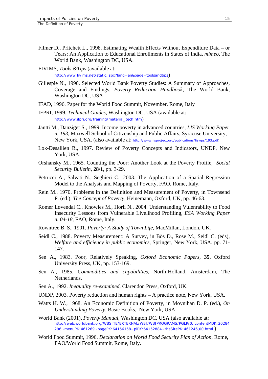- Filmer D., Pritchett L., 1998. Estimating Wealth Effects Without Expenditure Data or Tears: An Application to Educational Enrollments in States of India, *mimeo*, The World Bank, Washington DC, USA.
- FIVIMS, *Tools &Tips* (available at: <http://www.fivims.net/static.jspx?lang=en&page=toolsandtips>)
- Gillespie N., 1990. Selected World Bank Poverty Studies: A Summary of Approaches, Coverage and Findings, *Poverty Reduction Handbook,* The World Bank, Washington DC, USA
- IFAD, 1996. Paper for the World Food Summit, November, Rome, Italy
- IFPRI, 1999. *Technical Guides*, Washington DC, USA (available at: *[http://www.ifpri.org/training/material\\_tech.htm](http://www.ifpri.org/training/material_tech.htm)*)
- Jäntti M., Danziger S., 1999. Income poverty in advanced countries, *LIS Working Paper n. 193*, Maxwell School of Citizenship and Public Affairs, Syracuse University, New York, USA. (also available at: *http://www.lisproject.org/publications/liswps/193.pdf*)
- Lok-Desallien R., 1997. Review of Poverty Concepts and Indicators, UNDP, New York, USA.
- Orshansky M., 1965. Counting the Poor: Another Look at the Poverty Profile, *Social Security Bulletin*, **28/1**, pp. 3-29.
- Petrucci A., Salvati N., Seghieri C., 2003. The Application of a Spatial Regression Model to the Analysis and Mapping of Poverty, FAO, Rome, Italy.
- Rein M., 1970. Problems in the Definition and Measurement of Poverty, in Townsend P. (ed.), *The Concept of Poverty*, Heinemann, Oxford, UK, pp. 46-63.
- Romer Løvendal C., Knowles M., Horii N., 2004. Understanding Vulenrability to Food Insecurity Lessons from Vulnerable Livelihood Profiling, *ESA Working Paper n. 04-18*, FAO, Rome, Italy.
- Rowntree B. S., 1901. *Poverty: A Study of Town Life*, MacMillan, London, UK.
- Seidl C., 1988. Poverty Measurement: A Survey, in Bös D., Rose M., Seidl C. (eds), *Welfare and efficiency in public economics*, Springer, New York, USA. pp. 71- 147.
- Sen A., 1983. Poor, Relatively Speaking, *Oxford Economic Papers*, **35**, Oxford University Press, UK, pp. 153-169.
- Sen A., 1985. *Commodities and capabilities*, North-Holland, Amsterdam, The Netherlands.
- Sen A., 1992. *Inequality re-examined*, Clarendon Press, Oxford, UK.
- UNDP, 2003. Poverty reduction and human rights A practice note, New York, USA.
- Watts H. W., 1968. An Economic Definition of Poverty, in Moynihan D. P. (ed.), *On Understanding Poverty*, Basic Books, New York, USA.
- World Bank (2001), *Poverty Manual*, Washington DC, USA (also available at: *[http://web.worldbank.org/WBSITE/EXTERNAL/WBI/WBIPROGRAMS/PGLP/0,,contentMDK:20284](http://web.worldbank.org/WBSITE/EXTERNAL/WBI/WBIPROGRAMS/PGLP/0,,contentMDK:20284296~menuPK:461269~pagePK:64156158~piPK:64152884~theSitePK:461246,00.html) [296~menuPK:461269~pagePK:64156158~piPK:64152884~theSitePK:461246,00.html](http://web.worldbank.org/WBSITE/EXTERNAL/WBI/WBIPROGRAMS/PGLP/0,,contentMDK:20284296~menuPK:461269~pagePK:64156158~piPK:64152884~theSitePK:461246,00.html)* )
- World Food Summit, 1996. *Declaration on World Food Security Plan of Action*, Rome, FAO/World Food Summit, Rome, Italy.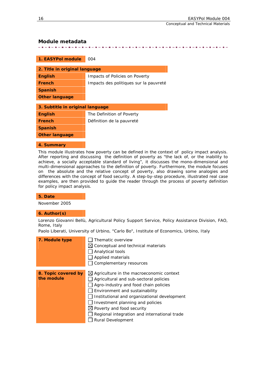Conceptual and Technical Materials

#### <span id="page-19-0"></span>**Module metadata**

. . . . . . . . . . . . . . 法法法法法法法法法法法法法法法法法法法法法法法法法法法法法法法法法法法法

| 1. EASYPol module                | 004                                    |  |  |  |
|----------------------------------|----------------------------------------|--|--|--|
|                                  |                                        |  |  |  |
| 2. Title in original language    |                                        |  |  |  |
| <b>English</b>                   | Impacts of Policies on Poverty         |  |  |  |
| <b>French</b>                    | Impacts des politiques sur la pauvreté |  |  |  |
| <b>Spanish</b>                   |                                        |  |  |  |
| <b>Other language</b>            |                                        |  |  |  |
|                                  |                                        |  |  |  |
| 3. Subtitle in original language |                                        |  |  |  |
| <b>English</b>                   | The Definition of Poverty              |  |  |  |
| <b>French</b>                    | Définition de la pauvreté              |  |  |  |
| <b>Spanish</b>                   |                                        |  |  |  |
| <b>Other language</b>            |                                        |  |  |  |

#### **4. Summary**

This module illustrates how poverty can be defined in the context of policy impact analysis. After reporting and discussing the definition of poverty as "the lack of, or the inability to achieve, a socially acceptable standard of living", it discusses the mono-dimensional and multi-dimensional approaches to the definition of poverty. Furthermore, the module focuses on the absolute and the relative concept of poverty, also drawing some analogies and differences with the concept of food security. A step-by-step procedure, illustrated real case examples, are then provided to guide the reader through the process of poverty definition for policy impact analysis.

#### **5. Date**

November 2005

#### **6. Author(s)**

Lorenzo Giovanni Bellù, Agricultural Policy Support Service, Policy Assistance Division, FAO, Rome, Italy

Paolo Liberati, University of Urbino, "Carlo Bo", Institute of Economics, Urbino, Italy

| 7. Module type                    | Thematic overview<br>$\boxtimes$ Conceptual and technical materials<br>Analytical tools<br>Applied materials<br>Complementary resources                                                                                                                                                                                                                                     |
|-----------------------------------|-----------------------------------------------------------------------------------------------------------------------------------------------------------------------------------------------------------------------------------------------------------------------------------------------------------------------------------------------------------------------------|
| 8. Topic covered by<br>the module | $\boxtimes$ Agriculture in the macroeconomic context<br>Agricultural and sub-sectoral policies<br>Agro-industry and food chain policies<br>Environment and sustainability<br>Institutional and organizational development<br>Investment planning and policies<br>$\boxtimes$ Poverty and food security<br>Regional integration and international trade<br>Rural Development |